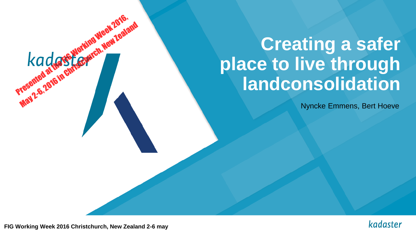# **Creating a safer place to live through landconsolidation**

Nyncke Emmens, Bert Hoeve



**FIG Working Week 2016 Christchurch, New Zealand 2-6 may**

Presented at the SEWorking Week 2016,

May 2-6, 2016 in Christman Meet 20, 2018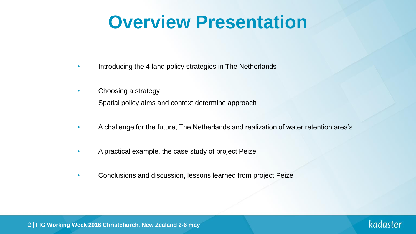# **Overview Presentation**

- Introducing the 4 land policy strategies in The Netherlands
- Choosing a strategy Spatial policy aims and context determine approach
- A challenge for the future, The Netherlands and realization of water retention area's
- A practical example, the case study of project Peize
- Conclusions and discussion, lessons learned from project Peize

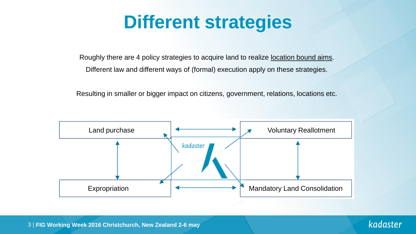# **Different strategies**

Roughly there are 4 policy strategies to acquire land to realize location bound aims. Different law and different ways of (formal) execution apply on these strategies.

Resulting in smaller or bigger impact on citizens, government, relations, locations etc.

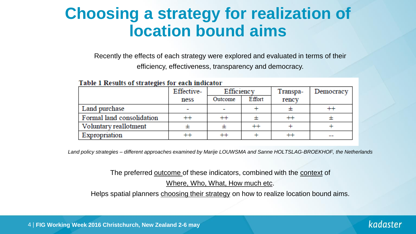### **Choosing a strategy for realization of location bound aims**

Recently the effects of each strategy were explored and evaluated in terms of their efficiency, effectiveness, transparency and democracy.

|                           | Effective- | Efficiency |        | Transpa- | Democracy |
|---------------------------|------------|------------|--------|----------|-----------|
|                           | ness       | Outcome    | Effort | rency    |           |
| Land purchase             |            |            |        |          |           |
| Formal land consolidation |            |            |        |          |           |
| Voluntary reallotment     |            |            | +1     |          |           |
| Expropriation             |            |            |        |          |           |

#### Table 1 Results of strategies for each indicator

*Land policy strategies – different approaches examined by Marije LOUWSMA and Sanne HOLTSLAG-BROEKHOF, the Netherlands*

The preferred outcome of these indicators, combined with the context of

Where, Who, What, How much etc.

Helps spatial planners choosing their strategy on how to realize location bound aims.

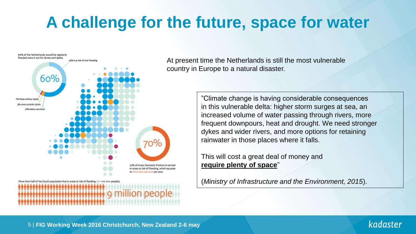## **A challenge for the future, space for water**



At present time the Netherlands is still the most vulnerable country in Europe to a natural disaster.

> "Climate change is having considerable consequences in this vulnerable delta: higher storm surges at sea, an increased volume of water passing through rivers, more frequent downpours, heat and drought. We need stronger dykes and wider rivers, and more options for retaining rainwater in those places where it falls.

This will cost a great deal of money and **require plenty of space**"

(*Ministry of Infrastructure and the Environment, 2015*).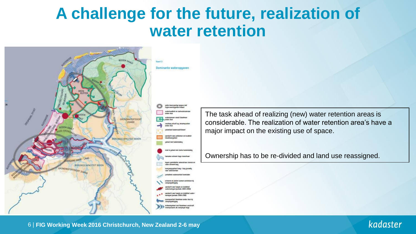### **A challenge for the future, realization of water retention**



The task ahead of realizing (new) water retention areas is considerable. The realization of water retention area's have a major impact on the existing use of space.

Ownership has to be re-divided and land use reassigned.



6 | **FIG Working Week 2016 Christchurch, New Zealand 2-6 may**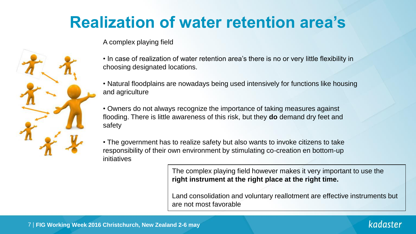## **Realization of water retention area's**

#### A complex playing field



• Natural floodplains are nowadays being used intensively for functions like housing and agriculture

• Owners do not always recognize the importance of taking measures against flooding. There is little awareness of this risk, but they **do** demand dry feet and safety

• The government has to realize safety but also wants to invoke citizens to take responsibility of their own environment by stimulating co-creation en bottom-up initiatives

> The complex playing field however makes it very important to use the **right instrument at the right place at the right time.**

Land consolidation and voluntary reallotment are effective instruments but are not most favorable



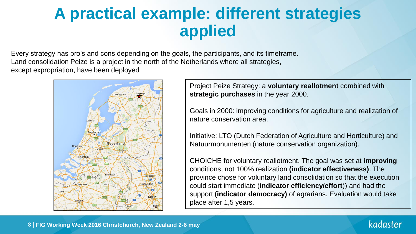### **A practical example: different strategies applied**

Every strategy has pro's and cons depending on the goals, the participants, and its timeframe. Land consolidation Peize is a project in the north of the Netherlands where all strategies, except expropriation, have been deployed



Project Peize Strategy: a **voluntary reallotment** combined with **strategic purchases** in the year 2000.

Goals in 2000: improving conditions for agriculture and realization of nature conservation area.

Initiative: LTO (Dutch Federation of Agriculture and Horticulture) and Natuurmonumenten (nature conservation organization).

CHOICHE for voluntary reallotment. The goal was set at **improving** conditions, not 100% realization **(indicator effectiveness)**. The province chose for voluntary land consolidation so that the execution could start immediate (**indicator efficiency/effort**)) and had the support **(indicator democracy)** of agrarians. Evaluation would take place after 1,5 years.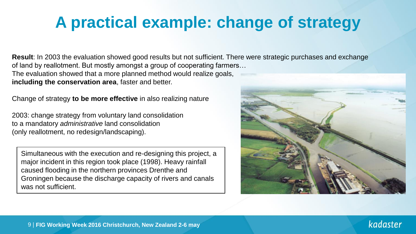## **A practical example: change of strategy**

**Result**: In 2003 the evaluation showed good results but not sufficient. There were strategic purchases and exchange of land by reallotment. But mostly amongst a group of cooperating farmers… The evaluation showed that a more planned method would realize goals, **including the conservation area**, faster and better.

Change of strategy **to be more effective** in also realizing nature

2003: change strategy from voluntary land consolidation to a mandatory *administrative* land consolidation (only reallotment, no redesign/landscaping).

Simultaneous with the execution and re-designing this project, a major incident in this region took place (1998). Heavy rainfall caused flooding in the northern provinces Drenthe and Groningen because the discharge capacity of rivers and canals was not sufficient.

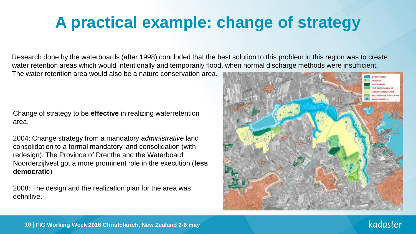## **A practical example: change of strategy**

Research done by the waterboards (after 1998) concluded that the best solution to this problem in this region was to create water retention areas which would intentionally and temporarily flood, when normal discharge methods were insufficient.

The water retention area would also be a nature conservation area.

Change of strategy to be **effective** in realizing waterretention area.

2004: Change strategy from a mandatory *administrative* land consolidation to a formal mandatory land consolidation (with redesign). The Province of Drenthe and the Waterboard Noorderzijlvest got a more prominent role in the execution (**less democratic**)

2008: The design and the realization plan for the area was definitive.

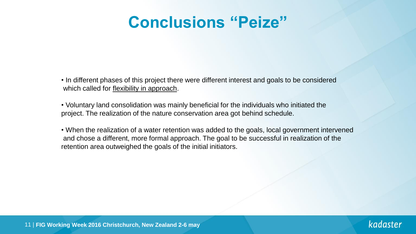### **Conclusions "Peize"**

- In different phases of this project there were different interest and goals to be considered which called for flexibility in approach.
- Voluntary land consolidation was mainly beneficial for the individuals who initiated the project. The realization of the nature conservation area got behind schedule.
- When the realization of a water retention was added to the goals, local government intervened and chose a different, more formal approach. The goal to be successful in realization of the retention area outweighed the goals of the initial initiators.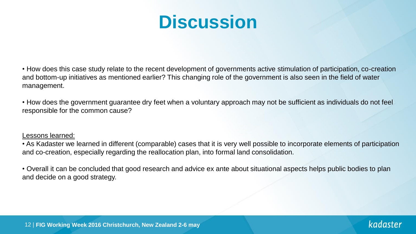# **Discussion**

• How does this case study relate to the recent development of governments active stimulation of participation, co-creation and bottom-up initiatives as mentioned earlier? This changing role of the government is also seen in the field of water management.

• How does the government guarantee dry feet when a voluntary approach may not be sufficient as individuals do not feel responsible for the common cause?

#### Lessons learned:

• As Kadaster we learned in different (comparable) cases that it is very well possible to incorporate elements of participation and co-creation, especially regarding the reallocation plan, into formal land consolidation.

• Overall it can be concluded that good research and advice ex ante about situational aspects helps public bodies to plan and decide on a good strategy.